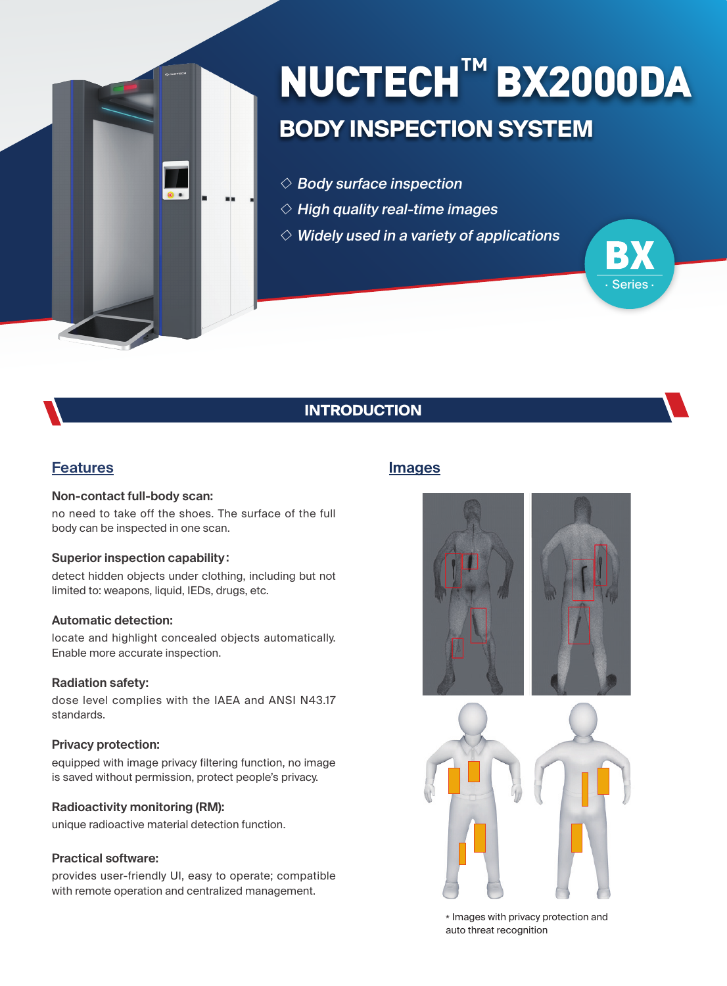

# **BODY INSPECTION SYSTEM** NUCTECH**™** BX2000DA

**Series** 

- $\Diamond$  Body surface inspection
- $\diamond$  High quality real-time images
- $\diamond$  Widely used in a variety of applications

# **INTRODUCTION**

## **Features**

#### **Non-contact full-body scan:**

no need to take off the shoes. The surface of the full body can be inspected in one scan.

#### **Superior inspection capability**:

detect hidden objects under clothing, including but not limited to: weapons, liquid, IEDs, drugs, etc.

#### **Automatic detection:**

locate and highlight concealed objects automatically. Enable more accurate inspection.

#### **Radiation safety:**

dose level complies with the IAEA and ANSI N43.17 standards.

#### **Privacy protection:**

equipped with image privacy filtering function, no image is saved without permission, protect people's privacy.

#### **Radioactivity monitoring (RM):**

unique radioactive material detection function.

#### **Practical software:**

provides user-friendly UI, easy to operate; compatible with remote operation and centralized management.

## **Images**



\* Images with privacy protection and auto threat recognition